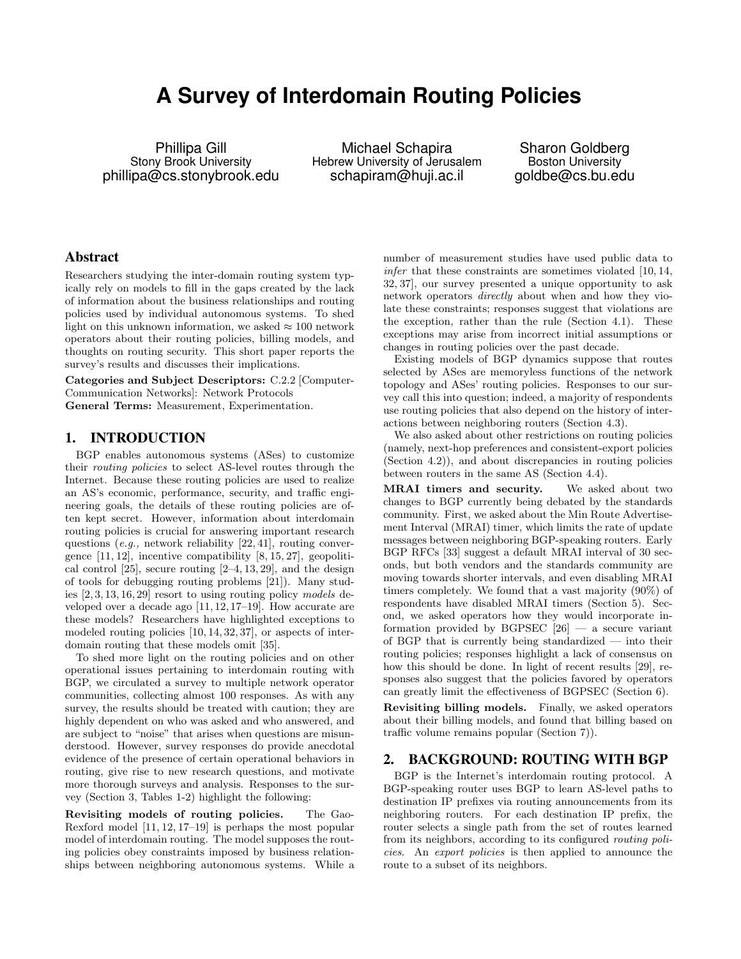# **A Survey of Interdomain Routing Policies**

Phillipa Gill Stony Brook University phillipa@cs.stonybrook.edu

Michael Schapira Hebrew University of Jerusalem schapiram@huji.ac.il

Sharon Goldberg Boston University goldbe@cs.bu.edu

## Abstract

Researchers studying the inter-domain routing system typically rely on models to fill in the gaps created by the lack of information about the business relationships and routing policies used by individual autonomous systems. To shed light on this unknown information, we asked  $\approx 100$  network operators about their routing policies, billing models, and thoughts on routing security. This short paper reports the survey's results and discusses their implications.

Categories and Subject Descriptors: C.2.2 [Computer-Communication Networks]: Network Protocols

General Terms: Measurement, Experimentation.

## 1. INTRODUCTION

BGP enables autonomous systems (ASes) to customize their *routing policies* to select AS-level routes through the Internet. Because these routing policies are used to realize an AS's economic, performance, security, and traffic engineering goals, the details of these routing policies are often kept secret. However, information about interdomain routing policies is crucial for answering important research questions (*e.g.,* network reliability [22, 41], routing convergence [11, 12], incentive compatibility [8, 15, 27], geopolitical control  $[25]$ , secure routing  $[2-4, 13, 29]$ , and the design of tools for debugging routing problems [21]). Many studies [2, 3, 13, 16, 29] resort to using routing policy *models* developed over a decade ago [11, 12, 17–19]. How accurate are these models? Researchers have highlighted exceptions to modeled routing policies [10, 14, 32, 37], or aspects of interdomain routing that these models omit [35].

To shed more light on the routing policies and on other operational issues pertaining to interdomain routing with BGP, we circulated a survey to multiple network operator communities, collecting almost 100 responses. As with any survey, the results should be treated with caution; they are highly dependent on who was asked and who answered, and are subject to "noise" that arises when questions are misunderstood. However, survey responses do provide anecdotal evidence of the presence of certain operational behaviors in routing, give rise to new research questions, and motivate more thorough surveys and analysis. Responses to the survey (Section 3, Tables 1-2) highlight the following:

Revisiting models of routing policies. The Gao-Rexford model [11, 12, 17–19] is perhaps the most popular model of interdomain routing. The model supposes the routing policies obey constraints imposed by business relationships between neighboring autonomous systems. While a number of measurement studies have used public data to *infer* that these constraints are sometimes violated [10, 14, 32, 37], our survey presented a unique opportunity to ask network operators *directly* about when and how they violate these constraints; responses suggest that violations are the exception, rather than the rule (Section 4.1). These exceptions may arise from incorrect initial assumptions or changes in routing policies over the past decade.

Existing models of BGP dynamics suppose that routes selected by ASes are memoryless functions of the network topology and ASes' routing policies. Responses to our survey call this into question; indeed, a majority of respondents use routing policies that also depend on the history of interactions between neighboring routers (Section 4.3).

We also asked about other restrictions on routing policies (namely, next-hop preferences and consistent-export policies (Section 4.2)), and about discrepancies in routing policies between routers in the same AS (Section 4.4).

MRAI timers and security. We asked about two changes to BGP currently being debated by the standards community. First, we asked about the Min Route Advertisement Interval (MRAI) timer, which limits the rate of update messages between neighboring BGP-speaking routers. Early BGP RFCs [33] suggest a default MRAI interval of 30 seconds, but both vendors and the standards community are moving towards shorter intervals, and even disabling MRAI timers completely. We found that a vast majority (90%) of respondents have disabled MRAI timers (Section 5). Second, we asked operators how they would incorporate information provided by  $BGPSEC$  [26] — a secure variant of BGP that is currently being standardized — into their routing policies; responses highlight a lack of consensus on how this should be done. In light of recent results [29], responses also suggest that the policies favored by operators can greatly limit the effectiveness of BGPSEC (Section 6).

Revisiting billing models. Finally, we asked operators about their billing models, and found that billing based on traffic volume remains popular (Section  $7$ )).

## 2. BACKGROUND: ROUTING WITH BGP

BGP is the Internet's interdomain routing protocol. A BGP-speaking router uses BGP to learn AS-level paths to destination IP prefixes via routing announcements from its neighboring routers. For each destination IP prefix, the router selects a single path from the set of routes learned from its neighbors, according to its configured *routing policies*. An *export policies* is then applied to announce the route to a subset of its neighbors.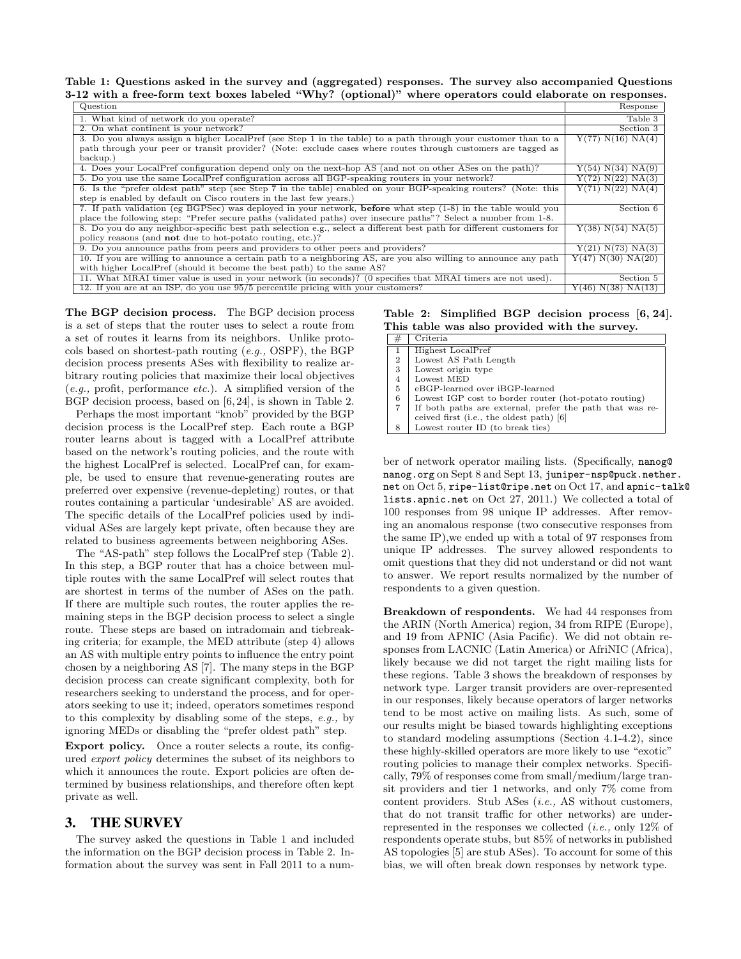Table 1: Questions asked in the survey and (aggregated) responses. The survey also accompanied Questions 3-12 with a free-form text boxes labeled "Why? (optional)" where operators could elaborate on responses.

| Question                                                                                                              | Response                        |
|-----------------------------------------------------------------------------------------------------------------------|---------------------------------|
| 1. What kind of network do you operate?                                                                               | Table 3                         |
| 2. On what continent is your network?                                                                                 | Section 3                       |
| 3. Do you always assign a higher LocalPref (see Step 1 in the table) to a path through your customer than to a        | Y(77) N(16) NA(4)               |
| path through your peer or transit provider? (Note: exclude cases where routes through customers are tagged as         |                                 |
| backup.)                                                                                                              |                                 |
| 4. Does your LocalPref configuration depend only on the next-hop AS (and not on other ASes on the path)?              | Y(54) N(34) N(A(9)              |
| 5. Do you use the same LocalPref configuration across all BGP-speaking routers in your network?                       | Y(72) N(22) N(A(3)              |
| 6. Is the "prefer oldest path" step (see Step 7 in the table) enabled on your BGP-speaking routers? (Note: this       | Y(71) N(22) N <sub>A</sub> (4)  |
| step is enabled by default on Cisco routers in the last few years.)                                                   |                                 |
| 7. If path validation (eg BGPSec) was deployed in your network, <b>before</b> what step (1-8) in the table would you  | Section 6                       |
| place the following step: "Prefer secure paths (validated paths) over insecure paths"? Select a number from 1-8.      |                                 |
| 8. Do you do any neighbor-specific best path selection e.g., select a different best path for different customers for | Y(38) N(54) N(A(5)              |
| policy reasons (and <b>not</b> due to hot-potato routing, etc.)?                                                      |                                 |
| 9. Do you announce paths from peers and providers to other peers and providers?                                       | Y(21) N(73) N(A(3)              |
| 10. If you are willing to announce a certain path to a neighboring AS, are you also willing to announce any path      | Y(47) N(30) N <sub>A</sub> (20) |
| with higher LocalPref (should it become the best path) to the same AS?                                                |                                 |
| 11. What MRAI timer value is used in your network (in seconds)? (0 specifies that MRAI timers are not used).          | Section 5                       |
| 12. If you are at an ISP, do you use 95/5 percentile pricing with your customers?                                     | Y(46) N(38) N <sub>A</sub> (13) |

The BGP decision process. The BGP decision process is a set of steps that the router uses to select a route from a set of routes it learns from its neighbors. Unlike protocols based on shortest-path routing (*e.g.,* OSPF), the BGP decision process presents ASes with flexibility to realize arbitrary routing policies that maximize their local objectives (*e.g.,* profit, performance *etc.*). A simplified version of the BGP decision process, based on [6, 24], is shown in Table 2.

Perhaps the most important "knob" provided by the BGP decision process is the LocalPref step. Each route a BGP router learns about is tagged with a LocalPref attribute based on the network's routing policies, and the route with the highest LocalPref is selected. LocalPref can, for example, be used to ensure that revenue-generating routes are preferred over expensive (revenue-depleting) routes, or that routes containing a particular 'undesirable' AS are avoided. The specific details of the LocalPref policies used by individual ASes are largely kept private, often because they are related to business agreements between neighboring ASes.

The "AS-path" step follows the LocalPref step (Table 2). In this step, a BGP router that has a choice between multiple routes with the same LocalPref will select routes that are shortest in terms of the number of ASes on the path. If there are multiple such routes, the router applies the remaining steps in the BGP decision process to select a single route. These steps are based on intradomain and tiebreaking criteria; for example, the MED attribute (step 4) allows an AS with multiple entry points to influence the entry point chosen by a neighboring AS [7]. The many steps in the BGP decision process can create significant complexity, both for researchers seeking to understand the process, and for operators seeking to use it; indeed, operators sometimes respond to this complexity by disabling some of the steps, *e.g.,* by ignoring MEDs or disabling the "prefer oldest path" step.

Export policy. Once a router selects a route, its configured *export policy* determines the subset of its neighbors to which it announces the route. Export policies are often determined by business relationships, and therefore often kept private as well.

#### 3. THE SURVEY

The survey asked the questions in Table 1 and included the information on the BGP decision process in Table 2. Information about the survey was sent in Fall 2011 to a numTable 2: Simplified BGP decision process [6, 24]. This table was also provided with the survey.

| #              | Criteria                                                 |
|----------------|----------------------------------------------------------|
| $\mathbf{1}$   | Highest LocalPref                                        |
| $\overline{2}$ | Lowest AS Path Length                                    |
| 3              | Lowest origin type                                       |
| 4              | Lowest MED                                               |
| 5              | eBGP-learned over iBGP-learned                           |
| 6              | Lowest IGP cost to border router (hot-potato routing)    |
| 7              | If both paths are external, prefer the path that was re- |
|                | ceived first (i.e., the oldest path) [6]                 |
| 8              | Lowest router ID (to break ties)                         |

ber of network operator mailing lists. (Specifically, nanog@ nanog.org on Sept 8 and Sept 13, juniper-nsp@puck.nether. net on Oct 5, ripe-list@ripe.net on Oct 17, and apnic-talk@ lists.apnic.net on Oct 27, 2011.) We collected a total of 100 responses from 98 unique IP addresses. After removing an anomalous response (two consecutive responses from the same IP),we ended up with a total of 97 responses from unique IP addresses. The survey allowed respondents to omit questions that they did not understand or did not want to answer. We report results normalized by the number of respondents to a given question.

Breakdown of respondents. We had 44 responses from the ARIN (North America) region, 34 from RIPE (Europe), and 19 from APNIC (Asia Pacific). We did not obtain responses from LACNIC (Latin America) or AfriNIC (Africa), likely because we did not target the right mailing lists for these regions. Table 3 shows the breakdown of responses by network type. Larger transit providers are over-represented in our responses, likely because operators of larger networks tend to be most active on mailing lists. As such, some of our results might be biased towards highlighting exceptions to standard modeling assumptions (Section 4.1-4.2), since these highly-skilled operators are more likely to use "exotic" routing policies to manage their complex networks. Specifically, 79% of responses come from small/medium/large transit providers and tier 1 networks, and only 7% come from content providers. Stub ASes (*i.e.,* AS without customers, that do not transit traffic for other networks) are underrepresented in the responses we collected (*i.e.,* only 12% of respondents operate stubs, but 85% of networks in published AS topologies [5] are stub ASes). To account for some of this bias, we will often break down responses by network type.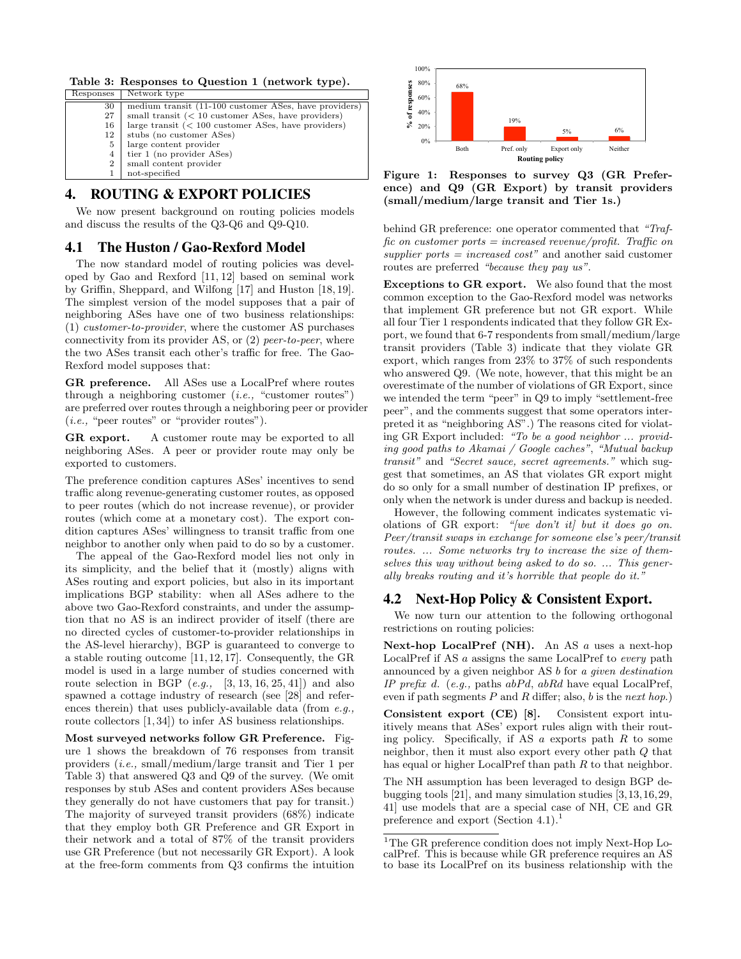Table 3: Responses to Question 1 (network type).

| Responses      | Network type                                          |
|----------------|-------------------------------------------------------|
| 30             | medium transit (11-100 customer ASes, have providers) |
| 27             | small transit $(< 10$ customer ASes, have providers)  |
| 16             | large transit $(< 100$ customer ASes, have providers) |
| 12             | stubs (no customer ASes)                              |
| 5              | large content provider                                |
| 4              | tier 1 (no provider ASes)                             |
| $\overline{2}$ | small content provider                                |
|                | not-specified                                         |
|                |                                                       |

## 4. ROUTING & EXPORT POLICIES

We now present background on routing policies models and discuss the results of the Q3-Q6 and Q9-Q10.

#### 4.1 The Huston / Gao-Rexford Model

The now standard model of routing policies was developed by Gao and Rexford [11, 12] based on seminal work by Griffin, Sheppard, and Wilfong [17] and Huston [18, 19]. The simplest version of the model supposes that a pair of neighboring ASes have one of two business relationships: (1) *customer-to-provider*, where the customer AS purchases connectivity from its provider AS, or (2) *peer-to-peer*, where the two ASes transit each other's traffic for free. The Gao-Rexford model supposes that:

GR preference. All ASes use a LocalPref where routes through a neighboring customer (*i.e.,* "customer routes") are preferred over routes through a neighboring peer or provider (*i.e.,* "peer routes" or "provider routes").

GR export. A customer route may be exported to all neighboring ASes. A peer or provider route may only be exported to customers.

The preference condition captures ASes' incentives to send traffic along revenue-generating customer routes, as opposed to peer routes (which do not increase revenue), or provider routes (which come at a monetary cost). The export condition captures ASes' willingness to transit traffic from one neighbor to another only when paid to do so by a customer.

The appeal of the Gao-Rexford model lies not only in its simplicity, and the belief that it (mostly) aligns with ASes routing and export policies, but also in its important implications BGP stability: when all ASes adhere to the above two Gao-Rexford constraints, and under the assumption that no AS is an indirect provider of itself (there are no directed cycles of customer-to-provider relationships in the AS-level hierarchy), BGP is guaranteed to converge to a stable routing outcome [11, 12, 17]. Consequently, the GR model is used in a large number of studies concerned with route selection in BGP (*e.g.,* [3, 13, 16, 25, 41]) and also spawned a cottage industry of research (see [28] and references therein) that uses publicly-available data (from *e.g.,* route collectors [1, 34]) to infer AS business relationships.

Most surveyed networks follow GR Preference. Figure 1 shows the breakdown of 76 responses from transit providers (*i.e.,* small/medium/large transit and Tier 1 per Table 3) that answered Q3 and Q9 of the survey. (We omit responses by stub ASes and content providers ASes because they generally do not have customers that pay for transit.) The majority of surveyed transit providers (68%) indicate that they employ both GR Preference and GR Export in their network and a total of 87% of the transit providers use GR Preference (but not necessarily GR Export). A look at the free-form comments from Q3 confirms the intuition



Figure 1: Responses to survey Q3 (GR Preference) and Q9 (GR Export) by transit providers (small/medium/large transit and Tier 1s.)

behind GR preference: one operator commented that *"Traffic on customer ports = increased revenue/profit. Traffic on supplier ports = increased cost"* and another said customer routes are preferred *"because they pay us"*.

Exceptions to GR export. We also found that the most common exception to the Gao-Rexford model was networks that implement GR preference but not GR export. While all four Tier 1 respondents indicated that they follow GR Export, we found that 6-7 respondents from small/medium/large transit providers (Table 3) indicate that they violate GR export, which ranges from 23% to 37% of such respondents who answered Q9. (We note, however, that this might be an overestimate of the number of violations of GR Export, since we intended the term "peer" in Q9 to imply "settlement-free peer", and the comments suggest that some operators interpreted it as "neighboring AS".) The reasons cited for violating GR Export included: *"To be a good neighbor ... providing good paths to Akamai / Google caches"*, *"Mutual backup transit"* and *"Secret sauce, secret agreements."* which suggest that sometimes, an AS that violates GR export might do so only for a small number of destination IP prefixes, or only when the network is under duress and backup is needed.

However, the following comment indicates systematic violations of GR export: *"[we don't it] but it does go on. Peer/transit swaps in exchange for someone else's peer/transit routes. ... Some networks try to increase the size of themselves this way without being asked to do so. ... This generally breaks routing and it's horrible that people do it."*

#### 4.2 Next-Hop Policy & Consistent Export.

We now turn our attention to the following orthogonal restrictions on routing policies:

Next-hop LocalPref (NH). An AS *a* uses a next-hop LocalPref if AS *a* assigns the same LocalPref to *every* path announced by a given neighbor AS *b* for *a given destination IP prefix d*. (*e.g.,* paths *abP d*, *abRd* have equal LocalPref, even if path segments  $P$  and  $R$  differ; also,  $b$  is the *next hop*.)

Consistent export (CE) [8]. Consistent export intuitively means that ASes' export rules align with their routing policy. Specifically, if AS *a* exports path *R* to some neighbor, then it must also export every other path *Q* that has equal or higher LocalPref than path *R* to that neighbor.

The NH assumption has been leveraged to design BGP debugging tools [21], and many simulation studies [3,13,16,29, 41] use models that are a special case of NH, CE and GR preference and export (Section 4.1).<sup>1</sup>

 $^1\rm{The}$  GR preference condition does not imply Next-Hop LocalPref. This is because while GR preference requires an AS to base its LocalPref on its business relationship with the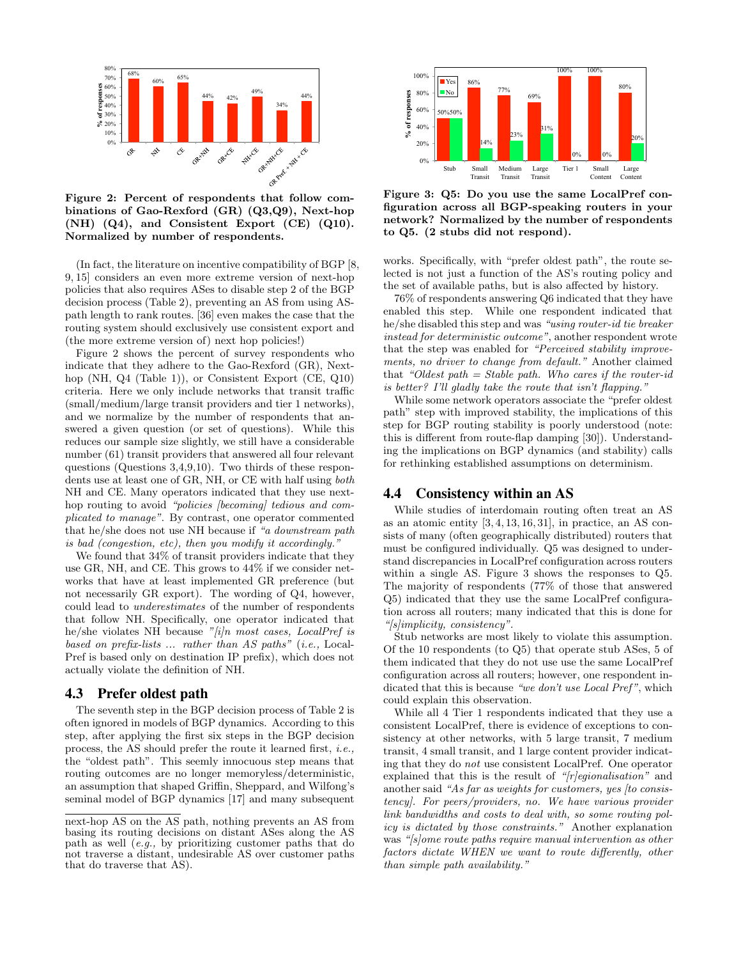

binations of Gao-Rexford (GR) (Q3,Q9), Next-hop  $(NH)$   $(Q4)$ , and Consistent Export  $(CE)$   $(Q10)$ . Normalized by number of respondents.

(In fact, the literature on incentive compatibility of BGP [8, 9, 15] considers an even more extreme version of next-hop policies that also requires ASes to disable step 2 of the BGP decision process (Table 2), preventing an AS from using ASpath length to rank routes. [36] even makes the case that the routing system should exclusively use consistent export and (the more extreme version of) next hop policies!)

Figure 2 shows the percent of survey respondents who indicate that they adhere to the Gao-Rexford (GR), Nexthop (NH, Q4 (Table 1)), or Consistent Export (CE, Q10)  $\,$  criteria. Here we only include networks that transit traffic (small/medium/large transit providers and tier 1 networks), and we normalize by the number of respondents that answered a given question (or set of questions). While this reduces our sample size slightly, we still have a considerable number (61) transit providers that answered all four relevant questions (Questions 3,4,9,10). Two thirds of these respondents use at least one of GR, NH, or CE with half using *both* NH and CE. Many operators indicated that they use nexthop routing to avoid *"policies [becoming] tedious and complicated to manage"*. By contrast, one operator commented that he/she does not use NH because if *"a downstream path is bad (congestion, etc), then you modify it accordingly."*

We found that 34% of transit providers indicate that they use GR, NH, and CE. This grows to 44% if we consider networks that have at least implemented GR preference (but not necessarily GR export). The wording of Q4, however, could lead to *underestimates* of the number of respondents that follow NH. Specifically, one operator indicated that he/she violates NH because *"[i]n most cases, LocalPref is based on prefix-lists ... rather than AS paths"* (*i.e.,* Local-Pref is based only on destination IP prefix), which does not actually violate the definition of NH.

#### 4.3 Prefer oldest path

The seventh step in the BGP decision process of Table 2 is often ignored in models of BGP dynamics. According to this step, after applying the first six steps in the BGP decision process, the AS should prefer the route it learned first, *i.e.,* the "oldest path". This seemly innocuous step means that routing outcomes are no longer memoryless/deterministic, an assumption that shaped Griffin, Sheppard, and Wilfong's seminal model of BGP dynamics [17] and many subsequent



**Network type**  Figure 3: Q5: Do you use the same LocalPref configuration across all BGP-speaking routers in your network? Normalized by the number of respondents to Q5. (2 stubs did not respond).

works. Specifically, with "prefer oldest path", the route selected is not just a function of the AS's routing policy and the set of available paths, but is also affected by history.

76% of respondents answering Q6 indicated that they have enabled this step. While one respondent indicated that he/she disabled this step and was *"using router-id tie breaker instead for deterministic outcome"*, another respondent wrote that the step was enabled for *"Perceived stability improvements, no driver to change from default."* Another claimed that *"Oldest path = Stable path. Who cares if the router-id is better? I'll gladly take the route that isn't flapping."*

While some network operators associate the "prefer oldest path" step with improved stability, the implications of this step for BGP routing stability is poorly understood (note: this is different from route-flap damping  $[30]$ ). Understanding the implications on BGP dynamics (and stability) calls for rethinking established assumptions on determinism.

#### 4.4 Consistency within an AS

While studies of interdomain routing often treat an AS as an atomic entity  $[3, 4, 13, 16, 31]$ , in practice, an AS consists of many (often geographically distributed) routers that must be configured individually. Q5 was designed to understand discrepancies in LocalPref configuration across routers within a single AS. Figure 3 shows the responses to Q5. The majority of respondents (77% of those that answered Q5) indicated that they use the same LocalPref configuration across all routers; many indicated that this is done for *"[s]implicity, consistency"*.

Stub networks are most likely to violate this assumption. Of the 10 respondents (to Q5) that operate stub ASes, 5 of them indicated that they do not use use the same LocalPref configuration across all routers; however, one respondent indicated that this is because *"we don't use Local Pref"*, which could explain this observation.

While all 4 Tier 1 respondents indicated that they use a consistent LocalPref, there is evidence of exceptions to consistency at other networks, with 5 large transit, 7 medium transit, 4 small transit, and 1 large content provider indicating that they do *not* use consistent LocalPref. One operator explained that this is the result of *"[r]egionalisation"* and another said *"As far as weights for customers, yes [to consistency]. For peers/providers, no. We have various provider link bandwidths and costs to deal with, so some routing policy is dictated by those constraints."* Another explanation was *"[s]ome route paths require manual intervention as other factors dictate WHEN we want to route differently, other than simple path availability."*

next-hop AS on the AS path, nothing prevents an AS from basing its routing decisions on distant ASes along the AS path as well (*e.g.,* by prioritizing customer paths that do not traverse a distant, undesirable AS over customer paths that do traverse that AS).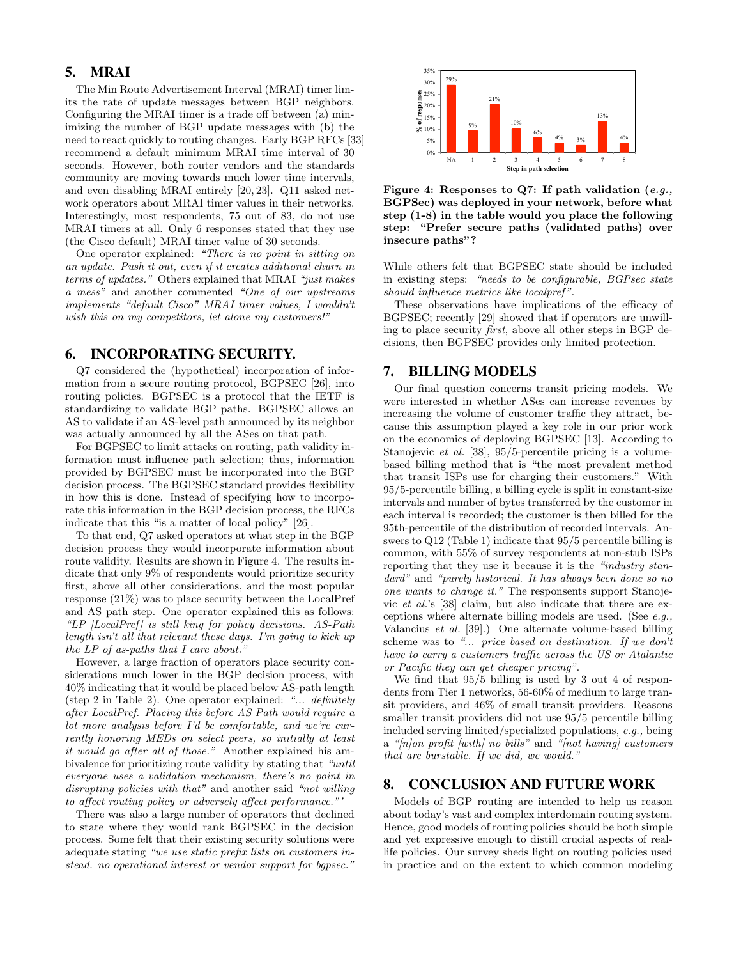## 5. MRAI

The Min Route Advertisement Interval (MRAI) timer limits the rate of update messages between BGP neighbors. Configuring the MRAI timer is a trade off between (a) minimizing the number of BGP update messages with (b) the need to react quickly to routing changes. Early BGP RFCs [33] recommend a default minimum MRAI time interval of 30 seconds. However, both router vendors and the standards community are moving towards much lower time intervals, and even disabling MRAI entirely [20, 23]. Q11 asked network operators about MRAI timer values in their networks. Interestingly, most respondents, 75 out of 83, do not use MRAI timers at all. Only 6 responses stated that they use (the Cisco default) MRAI timer value of 30 seconds.

One operator explained: *"There is no point in sitting on an update. Push it out, even if it creates additional churn in terms of updates."* Others explained that MRAI *"just makes a mess"* and another commented *"One of our upstreams implements "default Cisco" MRAI timer values, I wouldn't wish this on my competitors, let alone my customers!"*

#### 6. INCORPORATING SECURITY.

Q7 considered the (hypothetical) incorporation of information from a secure routing protocol, BGPSEC [26], into routing policies. BGPSEC is a protocol that the IETF is standardizing to validate BGP paths. BGPSEC allows an AS to validate if an AS-level path announced by its neighbor was actually announced by all the ASes on that path.

For BGPSEC to limit attacks on routing, path validity information must influence path selection; thus, information provided by BGPSEC must be incorporated into the BGP decision process. The BGPSEC standard provides flexibility in how this is done. Instead of specifying how to incorporate this information in the BGP decision process, the RFCs indicate that this "is a matter of local policy" [26].

To that end, Q7 asked operators at what step in the BGP decision process they would incorporate information about route validity. Results are shown in Figure 4. The results indicate that only 9% of respondents would prioritize security first, above all other considerations, and the most popular response (21%) was to place security between the LocalPref and AS path step. One operator explained this as follows: *"LP [LocalPref ] is still king for policy decisions. AS-Path length isn't all that relevant these days. I'm going to kick up the LP of as-paths that I care about."*

However, a large fraction of operators place security considerations much lower in the BGP decision process, with 40% indicating that it would be placed below AS-path length (step 2 in Table 2). One operator explained: *"... definitely after LocalPref. Placing this before AS Path would require a lot more analysis before I'd be comfortable, and we're currently honoring MEDs on select peers, so initially at least it would go after all of those."* Another explained his ambivalence for prioritizing route validity by stating that *"until everyone uses a validation mechanism, there's no point in disrupting policies with that"* and another said *"not willing to affect routing policy or adversely affect performance."'* 

There was also a large number of operators that declined to state where they would rank BGPSEC in the decision process. Some felt that their existing security solutions were adequate stating *"we use static prefix lists on customers instead. no operational interest or vendor support for bgpsec."*



Figure 4: Responses to Q7: If path validation (*e.g.,* BGPSec) was deployed in your network, before what step (1-8) in the table would you place the following step: "Prefer secure paths (validated paths) over insecure paths"?

While others felt that BGPSEC state should be included in existing steps: *"needs to be configurable, BGPsec state should influence metrics like localpref"*.

These observations have implications of the efficacy of BGPSEC; recently [29] showed that if operators are unwilling to place security *first*, above all other steps in BGP decisions, then BGPSEC provides only limited protection.

#### 7. BILLING MODELS

Our final question concerns transit pricing models. We were interested in whether ASes can increase revenues by increasing the volume of customer traffic they attract, because this assumption played a key role in our prior work on the economics of deploying BGPSEC [13]. According to Stanojevic *et al.* [38], 95/5-percentile pricing is a volumebased billing method that is "the most prevalent method that transit ISPs use for charging their customers." With 95/5-percentile billing, a billing cycle is split in constant-size intervals and number of bytes transferred by the customer in each interval is recorded; the customer is then billed for the 95th-percentile of the distribution of recorded intervals. Answers to Q12 (Table 1) indicate that 95/5 percentile billing is common, with 55% of survey respondents at non-stub ISPs reporting that they use it because it is the *"industry standard"* and *"purely historical. It has always been done so no one wants to change it."* The responsents support Stanojevic *et al.*'s [38] claim, but also indicate that there are exceptions where alternate billing models are used. (See *e.g.,* Valancius *et al.* [39].) One alternate volume-based billing scheme was to *"... price based on destination. If we don't have to carry a customers traffic across the US or Atalantic or Pacific they can get cheaper pricing"*.

We find that 95/5 billing is used by 3 out 4 of respondents from Tier 1 networks, 56-60% of medium to large transit providers, and 46% of small transit providers. Reasons smaller transit providers did not use 95/5 percentile billing included serving limited/specialized populations, *e.g.,* being a *"[n]on profit [with] no bills"* and *"[not having] customers that are burstable. If we did, we would."*

#### 8. CONCLUSION AND FUTURE WORK

Models of BGP routing are intended to help us reason about today's vast and complex interdomain routing system. Hence, good models of routing policies should be both simple and yet expressive enough to distill crucial aspects of reallife policies. Our survey sheds light on routing policies used in practice and on the extent to which common modeling